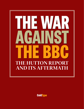

**ColdType**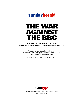# sundayherald

# THE WAR AGAINST THE BBC

**By TORCUIL CRICHTON, NEIL MACKAY, DOUGLAS FRASER**, **JAMES CUSICK & IAIN MACWHIRTER**

This special report was first published in the Sunday Herald, Glasgow, Scotland, February 1, 2004 **http://www.sundayherald.com**

(Special thanks to Andrew Jaspan, Editor)



WRITING WORTH READING FROM AROUND THE WORLD www.coldtype.net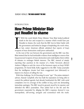#### INTRODUCTION

## How Prime Minister Blair put Houdini to shame

I WAS the week British Prime Minister Tony I<br>death in the face and escaped in a manner wh<br>Houdini to shame; the week that the BBC lost<br>the government and looked in danger of implod<br>at last, senior American officials admitt T WAS the week British Prime Minister Tony Blair looked political death in the face and escaped in a manner which would have put Houdini to shame; the week that the BBC lost its bitter battle with the government and looked in danger of imploding; the week when, at last, senior American officials admitted that reports of Iraq's

At the root of the war between the government and the BBC was this: Blair insisted that he had irrefutable evidence from intelligence sources that Iraq possessed weapons of mass destruction and could deploy them within 45 minutes to endanger British interests. The BBC, instead of simply reporting that assertion in the manner of a Pathe Newsreel, allowed Andrew Gilligan to seek the views of the foremost expert on Iraq's WMD programme, Dr David Kelly. Kelly suggested to the BBC Today journalist that the intelligence dossier had been exaggerated (not fabricated) to improve its chances of selling the war.

With that challenge, No 10 Downing St went "ape". The prime minister's adviser, Alastair Campbell, who has built his reputation on being able to control the political agenda, had already bombarded the BBC with serial complaints over its coverage of the conflict in Iraq, each one demanding immediate apologies. The BBC stood its ground, stood by its reporter, and defended the BBC's journalism. That added fuel to the fire and the government responded by alleging the BBC's response showed it was monopolistic, self-serving, arrogant and economical with the truth.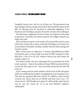#### SUNDAY HERALD | THE WAR AGAINST THE BBC SUNDAY HERALD | THE WAR AGAINST THE BBC

Campbell's threats were code for: we will get you. The government may have thought it had its revenge when Hutton directed all his criticism at the BBC, for allowing what he described as unfounded allegations to be broadcast and for failing to properly check their veracity when challenged.

The subsequent resignations of Gavyn Davies, the chairman of the board of governors, Greg Dyke, the director general, and Gilligan himself were icing on the cake.

But Lord Hutton's report on the suicide of Dr David Kelly and the events which led to it had such a narrow remit that his findings were bound to be circumscribed.Put another way,Blair carefully chose the referee and got the result he wanted.

Blair's victory comes at a high price. A YouGov poll published on Friday showed that twice as many people now trust the BBC compared to Tony Blair (67% v 31%). So in the end, whatever Hutton may have found, the people's verdict is in.

The Hutton inquiry may have sidestepped the two questions the world wants answered – where is the evidence of Iraq's WMD arsenal and if there is none why did we go to war? – but it now looks certain that the truth will come out.

In the coming week the prime minister and the head of MI6 will appear before new parliamentary inquiries investigating the case for going to war. This time the questions Blair faces will be of a different nature because everyone now knows there are no WMDs, that there never was a "45 minute threat". Will Houdini do it again? Or will he finally admit that the case for war was "sexed up" or, to use Lord Hutton's parlance, unfounded?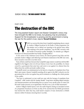### PART ONE The destruction of the BBC

The long-awaited Hutton report and Alastair Campbell's victory may have brought the BBC to its knees, but gloating may be premature. Support for the broadcaster is growing and the government is losing the war for the public's trust, reports **Torcuil Crichton**

WHEN we received the letter from Campbell complaining about a report by Andrew Gilligan broadcast by the Radio 4 Today programme, the big mistake was to defend our reporting in the general sense rather than replying to the by Andrew Gilligan broadcast by the Radio 4 Today programme, the big mistake was to defend our reporting in the general sense rather than replying to the specific complaints," says the BBC executive with the benefit of broadcast quality hindsight. "As mistakes go, Gilligan's broadcast was flawed journalism but hardly a hanging offence."  $\alpha$ 

As the careers of the chairman Gavyn Davies, the director-general Greg Dyke and the journalist Andrew Gilligan sank following Lord Hutton's indictment of the BBC last week, these executives were left to rue their errors.

None of them could have foreseen that Campbell's angry missive would have left the BBC engulfed in the biggest crisis in its 82-year history. It now faces the possibility of a future cowed by a government that some have said went to war against it to distract from the fallout from the real life-and-death conflict in Iraq.

Campbell's attack was misinterpreted as the latest in a long line of complaints from Tony Blair's spin master; Alastair Campbell sounding off yet again at the BBC's refusal to toe the government line on the war against Iraq and its insistence to challenge the whole premise of the conflict.

"You have to understand, we just could not cope with the barrage of complaints from Campbell," a BBC insider told the *Sunday Herald*. "Long letters detailing alleged mistakes and misrepresentations and demanding that we answer every specific point we raised. We felt under undue pressure as an organisation. We felt it was a case of daily harassment."

Andrew Gilligan's fateful report is now the stuff of legend. During an unscripted section of a programme broadcast at 6.07am on May 29 he asserted that the British government had inserted the claim that Iraq could launch weapons of mass destruction at British interests within 45 minutes, knowing that it was false.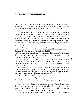The claim was not included in the 17 subsequent broadcasts Gilligan made on his story throughout that day but an article for the *Mail on Sunday* compounded his error. He said a senior intelligence source told him the 45-minute claim had been inserted at Campbell's insistence.

"If the BBC's governors and editorial executives had immediately launched an investigation into the 6.07 report and apologised for the insinuation, the matter would have ended there," said the insider. "But they did not do so." The result of that mistake was beamed live from Court 76 of the Royal Courts of Justice last week, when Lord Hutton presented the findings of his inquiry into the death of David Kelly, the former weapons inspector who killed himself after being revealed as the "senior intelligence source" who spoke to Gilligan.

Of all the politicians, senior executives and other parties who played a role in the saga which led to the discovery of Kelly's body on Harrowdown Hill, Hutton was clear who should shoulder the vast majority of his criticism: the BBC.

When it comes to car crash television, the excruciating disintegration of a subject under the unblinking lens of the camera, no-one does it better than the BBC, particularly when it is the BBC that is heading for the bollards.

Every wincing detail of its own wretched humiliation at the hands of Hutton and the government was detailed minute by minute by the station across television, radio and the internet. The corporation even printed a special edition of its in-house journal *Ariel* to detail Hutton's findings.

6

Over 48 hours every excoriating moment, from Hutton's ringing condemnation to Campbell's "ungracious" acceptance of the guillotine basket containing the heads of Davies and Dyke was broadcast. Throughout it all the BBC, the largest news organisation in the world, could not put forward a spokesperson to put its case.

On Thursday afternoon, when the corporation broadcast pictures of its own employees walking out in support of their deposed director-general, the media monitoring staff in Downing Street had difficulty deciding whether the reporting was a triumph of objectivity or surrealism.

It was not until Andrew Gilligan resigned that a backlash of sorts began. Gilligan walked the plank on Friday night but not without issuing a defiant rallying call. Yes, he had made mistakes, but the BBC, he said, had been dealt a "grave injustice" by the law lord who had failed to consider "fairly" the evidence and testimony before him.

Dyke, who is now as loose a cannon as Gilligan, has promised a detailed response to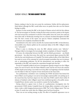Hutton, making it clear he does not accept the conclusions. Neither did his replacement, Mark Byford, although the BBC would rather move on quietly than rake over the Hutton findings in public.

Portents of what awaited the BBC at the hands of Hutton arrived with the first editions of *The Sun* newspaper on Tuesday evening.By then senior executives,parties to the inquiry who had received the conclusions in advance of the public, knew the worst, but could not brace their staff. As Wednesday morning wore on, rumours circulated throughout the BBC that *The Sun'*s version of the report was spot-on. Hutton completely exonerated the government and completely demolished the BBC.

Astonishment is the only word to describe the reaction inside the BBC. In that laborious, monosyllabic tone, Hutton spelled out the systematic failure of the BBC. Gilligan's claims were "unfounded".

When it came to checking the story the BBC editorial systems were "defective". Managers failed to investigate the increasingly strident complaints of Alastair Campbell.

Of course, the relationship between the BBC and the British government – any British government – has often been tense. But rarely has a government figure pursued the BBC with the fury and relentlessness of Campbell. The former political editor of the *Daily Mirror* has made no secret of his contempt for cynical newspaper journalism that sees its primary role as undermining politicians. He felt the phenomenon was spreading to infect the impartiality of the BBC and wanted the corporation brought back into line.

7

Several of Campbell's political and news management agendas merged over the Gilligan report. For sure he had to clear the Prime Minister's name and his own but in the summer of 2003, despite prosecuting a successful war in Iraq, Blair was beginning to feel the backlash over the failure to find any weapons of mass destruction in the Iraqi sands.

Two parliamentary committees were examining the WMD document that formed the basis of Blair's case for going to war and an increasingly sceptical public were picking up on the mood that they had been duped over the claim that WMD could be fired within 45 minutes of Saddam's order. Gilligan's report had contributed greatly to the public unease. Campbell knew decisive action was needed to counter the bad headlines.

Having refused to appear twice in front of a parliamentary investigation into the government's WMD dossier, Campbell chose the foreign affairs committee as his stage to make a make a table-banging denouncement of BBC ''lies" in the Gilligan report. This was on June 25, nearly four weeks after the Gilligan report had been broadcast.

There was an over-arching strategy at play. The effect of Campbell's appearance was to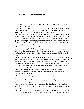ramp up the row which escalated when David Kelly was outed as the source for Gilligan's report and led to his death.

Dyke and Davies had an agenda of their own. Both had been traduced on their appointment as being cronies of Tony Blair. Dyke was a big donor to the party and Davies's partner, Sue Nye, is Chancellor Gordon Brown's private secretary.

This eagerness to prove themselves as independent guardians of the BBC combined with the BBC's weariness at Campbell's complaints. They both decided to counter-attack. No one close to the scene is denying now that a fair deal of testosterone contributed to the spiralling row. Campbell was stomping across television screens like a rogue elephant intent on stamping out the BBC. The BBC, as head of news Richard Sambrook made clear in his increasingly terse responses to Campbell, was ready for a rumble.

The weekend after Campbell stormed into the Channel Four news studios issuing a furious on-air rant against the BBC, even Gilligan was surprised when the director general rolled up his sleeves and jumped to his defence as the barrage from Downing Street broke overhead. Rather than stay above the fray Dyke got into the trenches with his troops. Big mistake.

When Dyke offered his resignation on Wednesday over the dinner that the BBC's board of governors share on the eve of every meeting, he expected them to refuse it. But without his key ally – Davies – he was left exposed. The governors, now led by Lord Ryder, another man with no great regard for journalists, had no stomach for a fight after such a devastating indictment from the law lord. "I don't want to go but in the end if you screw up, you have to go,'' Dyke said afterwards.

The departure of a popular boss and the contrite apology from Lord Ryder, the new acting chairman, which followed proved too much for some employees. Many left their desks and protested outside BBC studios.

There was considerable anger with the remaining governors for being so craven to the government. Dyke said he couldn't understand why they had apologised when he had already done so the day before. There was also anger against Gilligan whom many other journalists, BBC lifers, regarded as a loose cannon.

But mixed in with the anger was a growing fear that Campbell and Blair would not be satisfied with the scalps they had; that they would go further to make sure the BBC could never pose a threat again.

The BBC is facing a review of its Royal Charter and a clamour from its terrestrial and satellite rivals for the licence fee to be abolished. A new director general will be appointed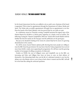by the board of governors but they are unlikely to do so until a new chairman of the board is appointed. That is done by appointment through the Department of Culture, Media and Sport. The Nolan rules on public appointment will apply but no appointment is ever free from the hands of the Prime Minister, who has proved that he can walk on water.

In a celebratory mood on Thursday evening, Campbell auctioned his signed copy of the Hutton Report for  $\text{\pounds}10,000$  to a Labour party supporter at a charity event in London. The following evening his "Alastair Campbell live 2004 tour" kicked off in South Shields with his familiar line that the media are the bad guys and the politicians are the good guys.

But just as he should be basking in his victory he cannot help but be aware of a growing dissatisfaction in the country.

He will be aware of post-Hutton opinion polls showing that more people are willing to trust the BBC than the government. He may know that the Today programme has received more than 20,000 e-mails, most supporting the programme. He will have read the growing number of newspapers levelling accusations of whitewash .

Doubts on WMD, the root of Gilligan's story and Campbell's war on the BBC, are increasing and Dyke and Gilligan have been set loose to carry on their defence of themselves. One distracting battle that cost the life of a dedicated scientist is over, but the debate over why Britain went to war in Iraq is back where it started and the BBC will still be in the front line asking the awkward questions.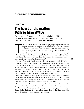#### PART TWO

## The heart of the matter: Did Iraq have WMD?

There's plenty of evidence that Saddam had ditched WMD, but little to show how the Blair government came to a contrary conclusion. By Investigations Editor **Neil Mackay**

Then Con ONY BLAIR and Alastair Campbell are clinging desperately to their story that Iraq had an arsenal of weapons of mass destruction (WMD), but they are members of an ever dwindling club. In America, WMD claims are unravelling fast. David Kay, the head of the Iraq Survey Group picked by the CIA to find banned weapons in post-war Iraq, has come out and said "we were all wrong". Then Condoleezza Rice, President George W Bush's national security adviser, said last week: "I think that what we have is evidence that there are differences between what we knew going in and what we found on the ground."

Secretary of state Colin Powell has also said that Iraq may not have had WMD. His former chief weapons expert, Greg Thielman, has accused Bush and Blair of failing to give an accurate picture of intelligence on Saddam's WMD. The "political leadership" in both countries distorted the Iraqi threat and the claim that Saddam could deploy WMD in 45 minutes was exaggerated, he added. Thielman also said Iraq was not a threat. And Rolf Ekeus, former head of Unscom, the UN special commission in Iraq, blamed the heads of UK and US intelligence agencies for "trying to play up to their political masters".

Then there's US Defence Secretary Donald Rumsfeld. He said in a report to the Senate armed services committee: "The coalition did not act in Iraq because we had discovered dramatic new evidence of Iraq's pursuit of WMD. We acted because we saw the evidence in a dramatic new light – through the prism of our experience on 9/11."

Two former chief UN weapons inspectors, Hans Blix and Scott Ritter, have also questioned claims that Iraq had WMD. Ritter further claims Britain "sexed-up" intelligence to make it look as if Saddam was armed and dangerous. Before taking up his new position, Charles Duelfer, the former UN weapons inspector appointed by the CIA to replace Kay, said he did not believe banned weapons would be found.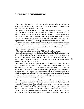A recent report by the British American Security Information Council pours cold water on the WMD claims and the Carnegie Endowment for International Peace says the threat from Iraq's WMD was "systematically misrepresented".

The Iraqi scientists who built Saddam's WMD in the 1980s have also weighed in to the fray, saying Blair lied to the British people over Iraq's capabilities. Dr Emad Shamsaldi said Blair should resign, adding: "We had no WMD when Britain and America invaded. I should know because I spent much of the 1980s involved in Iraq's nuclear programme." Shamsaldi also said UN inspectors accepted there was no WMD and that David Kelly contacted his department last year saying he was unhappy with what Bush and Blair were saying.

On Friday, Bush himself said he wants to know "the facts" about why WMD hadn't been found. Bush, the commander-in-chief of the US armed forces, has unsparingly told the world for the last year that Saddam was armed to the teeth with WMD, but now he seems vague on what the threat actually was.

All of which makes Blair's insistence that WMD exist look a little desperate.

Last week, intelligence chiefs told the *Sunday Herald*, ahead of the Hutton report, that they would not be blamed for intelligence failures. They said they had been politicised and pressurised into cherry-picking intelligence to justify the war. There has also been CIA dissent. David Albright, an ex-colleague of Kay, said claims about Iraqi weapons were questioned by many intelligence experts.

The UK intelligence community is getting its side of the story in early because if it comes to pass that there was no threat – no justification for the war – the politicians will have to blame the quality of the intelligence they received. Blair has already said that his belief that Iraq had WMD which posed a threat was based on intelligence reports. What the spies are saying is that they were sceptical about WMD claims; were under government pressure to provide intelligence that Iraq had WMD; that damning intelligence was selectively chosen; intelligence that might have worked against the build-up to war was sidelined, and that intelligence had become politicised under Labour.

Among the evidence that Hutton either ignored or decided was not relevant was an email sent from Danny Pruce, a Downing Street press officer, to his boss Alastair Campbell, which said: "Much of the evidence is largely circumstantial so we need to convince our readers that the cumulation of these facts demonstrate an intent on Saddam's part." Phil Basset, a senior special adviser to the PM, said the document was "intelligence-lite" adding: "We've got to find a way to get over this by having better intelligence material." Downing Street, it seemed, was also pressurising John Scarlett, the former MI6 officer who chaired the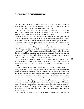joint intelligence committee (JIC), which was supposed to have sole ownership of the dossier detailing the case for war. Spies were told: "Number 10 ... wants the document to be as strong as possible within the limits of the available intelligence."

Campbell, who chaired intelligence meetings, asked Scarlett's team to strengthen nine passages in the dossier. Scarlett, who Campbell called a "mate", wrote back saying: "We have been able to amend the text in most cases as you proposed."

Jonathan Powell, Blair's chief of staff, asked the JIC to toughen up a passage which read: "Saddam is prepared to use chemical and biological weapons if he believes his regime is under threat." It became: "Saddam is willing to use chemical and biological weapons."

Sir Rodric Braithwaite, who preceded Scarlett as head of the JIC, has warned that intelligence officers "have to avoid getting into the magic circle" which surrounds the PM. He thinks the JIC, under Scarlett, became an unwitting political tool to rally a sceptical public. "It's not (the JIC's) job to fiddle with documents in order to make them more presentable," he said. "If they start doing that, then instead of analysis, which is their job, they get involved in presentation, and presentation means not falsifying the facts but presenting them in an order which is designed to produce a particular impression on the audience. It is ceasing to be objective, it's becoming an advocate."

One example of the corrosion of objectivity is Operation Rockingham, a covert "dirty tricks" unit exposed by the *Sunday Herald* last summer. It was designed to produce misleading intelligence that Saddam had WMD.This would give the UK a justifiable excuse for war.

It was established by the MoD's Defence Intelligence Service in 1991 to "cherry-pick" intelligence proving an active WMD programme and to ignore or quash intelligence which showed that Saddam, compliant with UN demands, had destroyed or wound down stockpiles. David Kelly was also a key figure in Operation Rockingham, whose staff wrote reports for the UN Security Council and were, therefore, able to influence decisions on Iraqi sanctions. Ritter hinted that Kelly may have helped overstate the threat from Iraq, saying: "Kelly became Rockingham's go-to person for translating the data that came out of Unscom into concise reporting. Kelly had a vested interest in protecting his image, which centred around his exposure of an Iraqi bio-weapons programme that had to continue to exist for him to hold centre stage." Another example of skewed objectivity was MI6's Operation Mass Appeal which saw spies plant stories about Iraqi WMD. Most have since been described as "garbage".

Air Marshall Sir John Walker, the former chief of defence intelligence, said it was clear that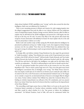claims about Saddam's WMD capabilities were "wrong", and he also scorned the idea that intelligence chiefs were not influenced by Number 10.

There is now mounting pressure in Britain and America for wide-ranging inquiries into the alleged exaggerations that took the allies to war. Labour, LibDem and Tory politicians want an independent inquiry. Shadow foreign secretary Michael Ancram called on Blair to explain why he still believed the WMD intelligence and pressed for a full inquiry into the lead up to the Iraq war. He said: "It seems Tony Blair is the only person still certain that weapons of mass destruction will definitely be found. He must explain why he is the odd man out and produce evidence as to why."

Robin Cook took another swipe at Blair saying the PM should admit the intelligence he presented to parliament on Iraq was "wildly wrong". Cook, who resigned as former foreign secretary over the war, added: "Now that even the White House has admitted they may have got it wrong, it's embarrassing to watch our government still trying to deny reality. The game is up."

Ex-foreign office and defence minister Doug Henderson has also urged the government to "clarify its position", asking: "Does Britain now accept, as the US government now seems to believe, that WMD will not be found?" LibDem leader Charles Kennedy and Tory leader Michael Howard also backed an inquiry. Blair's spokesman brushed aside the calls saying: "The PM has said that he did believe the intelligence was right and he did believe there would be an explanation ...The (ISG) is still pursuing its work and we should wait for that."

In the US, government loyalists have poured scorn on the reasons for war. One senior Republican said: "They've made a pretty huge mess of it. They wove this giant story, based on intelligence assessments that, in hindsight, were wrong." The White House, however, fears any inquiry would spin out of control in an election year. It could also spin wildly out of control in the UK as well. Prosecutors at the International Criminal Court at The Hague are to consider a request by an international body of lawyers to investigate Blair for alleged war crimes. Former defence minister Peter Kilfoyle has asked the Commons library for a briefing on whether impeachment was still part of the UK constitution, and was assured that it was.Senior Tories have also let it be known that they would favour the impeachment of the Prime Minister.

The unravelling could begin sooner than we think. Blair is to be put on the spot by the Commons liaison committee on Tuesday. Labour committee member Donald Anderson said Blair would be asked whether he is the "last person to believe the intelligence assessment". Sir Richard Dearlove, head of MI6, will soon be summoned before the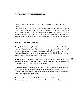intelligence and security committee to give more evidence on why he believed the WMD intelligence.

The dilemma for the government is that it is now trapped by the Hutton report. Hutton found against the BBC and heads rolled; if it is eventually dragged out of the government that there were no WMD, or that the intelligence services were encouraged to exaggerate the threat, or that lies were told, then the blood-letting at the Beeb could look like a playground punch-up in comparison to the savage harvest that would unfold in Whitehall.

#### **WHAT THEY SAID THEN ... AND NOW**

**George W Bush** – January 29, 2003: "Twelve years ago, Saddam Hussein faced the prospect of being the last casualty in a war he had started and lost. To spare himself, he agreed to disarm of all weapons of mass destruction. For the next 12 years, he systematically violated that agreement. He pursued chemical, biological and nuclear weapons even while inspectors were in his country."

**George W Bush** – January 30, 2004: "I want the American people to know that I too want to know the facts. I want to be able to compare what the Iraq Survey Group has found with what we thought prior to going into Iraq."

**Condoleeza Rice** – January 23, 2003: "Instead of a commitment to disarm, Iraq has a high-level political commitment to maintain and conceal its weapons, led by Saddam Hussein and his son Qusay, who controls the Special Security Organisation, which runs Iraq's concealment activities."

**Condoleeza Rice** – January 29, 2004: "What we have is evidence that there are differences between what we knew going in and what we found on the ground."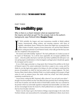### PART THREE The credibility gap:

Why is there is a chasm between what we expected from the inquiry and what we got? For the answer, look to the author's background, says Political Editor **Douglas Fraser**

I WAS probably the longest and<br>history, monotonously sifting evidenticity, monotonously sifting evident<br>subject matter of suicide, weapons<br>future, resting precariously in Lord I<br>after the completion of his prepared text. T WAS probably the longest and most momentous mumble in British political history, monotonously sifting evidence and torturing sentences with layers of legalistic, subordinate clauses. Without the drama that might have accompanied the subject matter of suicide, weapons of mass destruction, war and the Prime Minister's future, resting precariously in Lord Hutton's hands, what really got him fired up came

The learned and noble lordship "deplored" *The Sun*'s publication of a leaked account of his report on Wednesday: "As is all the more regrettable, the newspaper published this report ... when the public only had to wait half a day before I published the full report. I am now giving urgent consideration to what investigative and legal action I should take against the newspaper and its source."

It was a brief, angry postscript to a long report. But it betrayed the problem at the heart of Hutton's report: if he cannot understand what drives a paper to run a scoop, and if he thinks he can take legal action against it for doing so, he does not begin to understand the process of journalism on which he had just passed such a strange judgment. *The Sun*'s luscious, flame-haired editress, Rebekah Wade, is no doubt quaking at the prospect of legal action by such an eminent lawyer. But under which law, m'lud? And which planetary jurisdiction would that be on?

Gavyn Davies, exiting the BBC chairman's office, observed "you can't pick your referee" – though it has been pointed out that Tony Blair had done precisely that in selecting Hutton. In the heat of summer, and with the shock of David Kelly's suicide, that was a decision by the premier which was universally regarded as impartial and statesmanlike. Law lords, after all, have increasingly become the means by which political knots are unpicked. Until now, that has been broadly welcomed.

Hutton was the chap to get to the bottom of things; respected judge in the Lords; from Northern Ireland, and unencumbered by metropolitan establishment elitism; faced down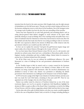terrorists from the bench in his native province; Kirk Douglas looks, just the right amount of intimidation over his half-moon specs. This guy was from central casting, and born to be the lawman, striding into town to crack down on the hoodlums. One of the strangest twists of a strange week in politics has been the slow but sure unravelling of that storyline.

Davies may have departed for an early bath graciously, and remaining players, such as acting director-general Mark Byford, struggled to avoid criticism of the report while pointedly refusing to accept its findings. But to the watching media and public there was a dawn of realisation that the Ulsterman in whom they had invested so much trust, blew the final whistle and only then made clear that he was scoring according to rules no-one knew. The BBC were expected to abide by the strictest of offside laws, while whatever rules the government wished to use would be just fine with the ref.

So how can we explain the outcome? And given the gulf between inquiry image and report reality, who is Baron Hutton of Bresagh in the County of Down?

He was born James Brian Edward Hutton in June 1931, the son of a rail executive and attended an exclusive prep school and won a scholarship to Shrewsbury public school in England. Another scholarship took him to Balliol College, Oxford, before he returned to practise law in Northern Ireland from 1954 onwards.

For all his Ulster roots, he was not without his establishment influences. His career blossomed at a time of challenge for law and government administration in Northern Ireland.

As the Troubles began in 1969, he started work as a junior counsel for the Stormont administration. He became legal adviser to the Ministry of Home Affairs in 1973 when terrorism was being countered with internment. After the devolved administration was abolished in favour of direct rule, Hutton was prominent in defending the British government when internment was challenged at the European Court of Human Rights.

In 1979,he became a judge of the High Court of Justice in Northern Ireland,and nine years later was made the Lord Chief Justice, remaining in that post until 1997. Then he was appointed one of the 12 judges who sit at the House of Lords.

Hutton was neither noted by observers of Northern Ireland law as one of the more reactionary figures, nor was he an upsetter of applecarts. Irish Republicans highlight his decision in 1986 to acquit an officer of the Royal Ulster Constabulary on trial for the killing of Sean Downes, with the evidence suggesting a plastic bullet had been fired at close range.

On the other side of the audit, Sir Brian Hutton, as he then was, made a notable judgment in 1992 in the case of Republican Patrick Nash, on trial for 22 charges including plotting to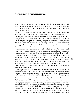murder four judges among other senior figures, and aiding the murder of a taxi driver. Nash claimed to have been tortured, and although Hutton judged him to be "an accomplished liar", he could not be sure the RUC had not beaten him. The accused got the benefit of the doubt and was acquitted.

Significant to understanding Hutton's world view are the unusual circumstances in which he worked.The so-called Diplock courts were used through the Troubles for terrorism trials in which judges ruled without any juries, because jurors could be too easily intimidated.

Judges had been targets for paramilitaries, and Hutton spent nearly two decades in a cocoon of high-security protection. According to a profile in the *Belfast Telegraph*, a former student said of him: "He is the very epitome of a judge. He doesn't have much contact with ordinary people – how could he have? He dresses conservatively and always wears a hat. Yet he is the fairest man I know."

He is known to have been the most conservative of the 12 law lords. Through this period, Hutton was, of course, much too wise to express political opinions. But in the context of Northern Ireland, one example of his legal opinion stands out as making his conservative inclinations clear. When handling a 1999 legal challenge by two Republican lawyers to the requirement that Queen's Counsel should take an oath of allegiance to the Crown, Hutton wrote to the Attorney General, warning: "If you decide to remove the requirement for a declaration, it will appear that you are being influenced by political pressure to alter the procedure relating to an office which links Northern Ireland with the Crown".

You can read that two ways: either ingrained conservatism, or his determination to withstand political pressure.

One suggestion is that such defenders of the Unionist status quo in Northern Ireland were no fans of the BBC. In the 1980s, the corporation was criticised by, among others, Margaret Thatcher, for giving "the oxygen of publicity" to the IRA, leading to a broadcast ban on the voice of anyone speaking on its behalf. It is worth at least asking if Hutton developed an antipathy to journalists who were then trying to present a balanced view of the Troubles, with the BBC being most criticised because it was most prominent.

What clearly underpinned his judgement on Wednesday was a negative view of the media. Dr David Kelly was criticised for unauthorised contact with it, despite no weight being given to his previous authorised briefings. There is a nod to the value of investigative journalism in a democracy, but only on condition that nothing false is reported. His definition of falsehood is anything that cannot be proved to be true. And in the frequent absence of such proof, the role of the informed source in journalism is given no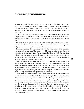consideration at all. This was a judgment where the precise rules of evidence in court clashed with the gathering of information from a secretive government. And underlying the judgment was an implicit view that journalists are unreliable, untrustworthy and predatory outsiders, hostile to the smooth operation of government, the barbarians at the gates of good order.

When it came to judging what was said in the crucial meeting between Kelly and Andrew Gilligan on May 22, 2003, in the Charing Cross Hotel, Hutton admitted he did not know. Without Kelly available, all he had was Gilligan's word and some unreliable notes he had made.

The judge chose to ignore clear evidence from Newsnight journalist Susan Watts – recorded, he notes with a touch of unworldliness, "on a tape recorder" – that supported Gilligan's account of events, choosing to disbelieve the reporter.

There were other startling omissions of evidence. The attack on the BBC's complaints procedure took no account of the context, in which the corporation faced a blizzard of complaints coming regularly from Alastair Campbell's office, of which the one about Gilligan's May 29 broadcast was oddly slow to gain momentum, culminating in the communication director's broad-brush assertion in front of a Commons committee that the corporation was running an anti-war agenda.

If Hutton took any account of the evidence he heard from intelligence sources of concern that the Iraq dossier was being "over-egged" and "spun" – assertions which came from defence and weapons experts – he appeared to ignore it. His only hint at the pressure being brought to bear on intelligence officers to toughen the wording of the dossier is the suggestion that they might have given "subconscious" weighting to political considerations, though he only raised this possibility to dismiss its significance.

He chose not to question whether it was normal or appropriate for the Prime Minister and his communications chief to involve themselves so closely in the news management of Kelly's naming, superseding Ministry of Defence disciplinary procedures. Nor does he question the assertion that Kelly's name would inevitably emerge, when set against the interest the government had in ensuring that it did. And in contrast with his meticulous attention to precise language in his judgement, there is a glaring absence of any consideration to the rewriting of the dossier to shift the intelligence suggesting there "may" be an Iraqi capacity to launch an attack within 45 minutes to the assertion that it had that capacity. Nor does he challenge the downplaying in the rewrite of such weapons being only available for battlefield use.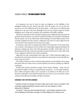It is important, too, that he chose to make no judgment on the reliability of the intelligence feeding into the dossier. Since July, when the inquiry was set up, that has become an ever more difficult issue for the government – made more so by embarrassing admissions in the past week from Washington that the key weapons inspector reckons intelligence got it wrong, and a president who empathises with public confusion.

Was there a conspiracy to draw the Hutton Inquiry remit so tightly that the big, awkward questions about the path to war could be avoided? Probably not. It should be remembered that this inquiry was set up within hours of the shocking news about Kelly's suicide. There was little complaint then that it lacked a sufficiently wide remit. It is only in light of recent events that the other questions have become more urgent.

In retrospect, what seems so strange about Hutton is the mismatch. On one hand, there was an inquiry which gained universal acclaim for its impartiality, tough questioning of all witnesses, probing into places that both government and BBC would prefer not to be illuminated, and all with a speed not normally associated with lawyers: on the other hand it was a judgment which has none of those properties.

Judge Alan Levy, QC, commenting on the report, said: "I think whitewash might be too strong, but I'm uneasy that criticism was not attached to other parties. It seems the BBC has every reason to cry foul."

The problem Hutton now faces is that his inquiry gained so much publicity and coverage that many others can claim to have as much expertise as he does in reaching very different conclusions.

Notably, that includes journalists, through whom Hutton's findings – along with the government's delight at being so comprehensively exonerated – are necessarily mediated. Even within newspapers which can be expected to be hostile to the BBC role in the broadcast marketplace and its liberal leanings, there has been no way to avoid the various responses of puzzlement, incredulity, outrage and injustice.

#### **EVIDENCE THAT HUTTON IGNORED**

\* Jonathan Powell, the Number 10 chief of staff, said he had "a bit of a problem" with a passage suggesting Saddam Hussein would only use weapons of mass destruction if attacked.

He wrote: "I think you should redraft the para." John Scarlett, chairman of the Joint Intelligence Committee, changed it to state Saddam was "willing to use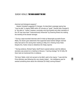chemical and biological weapons".

Alastair Campbell suggested 15 changes. He described a passage saying Iraq "may be able" to deploy WMD within 45 minutes as "weak". Scarlett later changed it to "are able to". Hutton, however, concludes only that Scarlett and other members of the JIC may have been "subconsciously influenced" by Downing Street into making the wording of the dossier stronger.

\* During a tape-recorded interview with Dr Kelly by Newsnight journalist Susan Watts, the doctor gave statements that supported what Andrew Gilligan claimed Kelly had said to him during their meeting on May 22 in Charing Cross Hotel. Despite this, Hutton chose to disbelieve the Today reporter.

\* During evidence, Richard Taylor, Geoff Hoon's special adviser, said the defence secretary was present at a meeting to discuss a "naming strategy" for Dr Kelly. Mr Hoon had not mentioned this in evidence.

\*Sir Kevin Tebbit, chief civil servant to the MoD, said to the inquiry: "I was told the Prime Minister was following this very closely indeed ... the intelligence was he wanted something done about the individual [Dr Kelly] coming forward."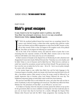#### PART FOUR

## Blair's great escapes

It was meant to be his toughest week in politics, but while Tony Blair has emerged victorious, he is in no way unscathed. Westminster Editor **James Cusick** reports

But T WAS the predicted political funeral that turned into an escapology festival. Five narrow votes clinched victory, a whiter-than-white, squeaky-clean, guilt-free verdict from Lord Hutton and tear-filled resignations to enjoy from his BBC enemies as they fell on their swords. If this is what can happen in the toughest week of his political life, Tony Blair can be forgiven for believing he is invincible.

But in the wake of his Commons victory, and amid the stench of panic that is now emanating from the corporate corridors of the BBC, Blair's victories seem to have been achieved with hidden costs whose price has yet to be determined.

In Blair's moment of triumph at the dispatch box on Wednesday, he told a disarmed and disappointed Conservative leader,Michael Howard,that: "Yesterday was a test of policy and he failed. Today is a test of character and he failed that too." Blair, however, could just as easily have turned his accusations around and faced them himself. The government may have won the vote on tuition fees by five votes  $-316$  to  $311 - \text{but it}$  was no policy triumph for a party with a 161 majority.

21

As the tension began to ease visibly from Blair's face and his body language in the Commons began to resemble a death-row inmate who'd just been marched back to his cell after a last-minute reprieve, Blair seemed to know his escape would be followed by an equally impressive leap to freedom when Lord Hutton delivered the next day. The heightened enjoyment going on inside Blair's mind would have been immense.

But just how hard Blair had to work behind the scenes, and what that will cost him in terms of authority, is only now beginning to be teased out. Tony Blair may still be the Prime Minister, but "the adventures of Tony Blair", as one MP put it, "are now over".

At 12.40pm on Tuesday, when the education secretary opened the debate on top-up fees for the government, Blair was more confident of winning the vote that would take place in just over six hours' time than he had been for a month. Although the Deputy Prime Minister John Prescott had told the BBC's Today programme that morning that the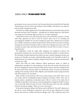government was on course to lose the vote, Prescott did not know that Blair, the Chancellor Gordon Brown and one of the main architects of the rebellion, Nick Brown, were about to meet in hastily arranged peace talks.

Nick Brown is widely regarded as the Chancellor's lieutenant on the back benches; fiercely Brownite and loyal to the Chancellor – normally. But on variable tuition fees, Nick Brown was saying, even on Monday night, that this was "a matter of principle".

Gordon Brown had, it was said, previously tried to reel in Nick Brown. Brown, a former chief whip, appeared not only to resist his master's advice, but to be recruiting and encouraging the rebellion. He was also resisting the notion that a defeated vote on tuition fees would be a disastrous result for the government. When the three met early on Tuesday morning, the tone of the Chancellor's advice is said to have changed. One source said: "The meeting was open, frank and brutal and Nick Brown was left with no choice. It wasn't a long discussion."

The implication is that the whips' office arithmetic was explained to Brown. The government would lose the vote and because of Nick Brown's loyalty to Gordon Brown, the Chancellor would be blamed for the defeat, the party would be damaged, and thus any prospect of a bloodless succession, with leadership passing to the Chancellor, would be in jeopardy. Brown was ordered to publicly change his mind and to make the announcement as soon as he could.

When Tom Kelly, the Prime Minister's official spokesman, spoke at 3.45pm to parliamentary journalists, he came prepared to knock down the excuses that Brown had given for changing his mind. By that time Blair and his advisers had been reading Hutton for almost three hours and knew Blair was off all hooks. Brown of course had mentioned nothing of his meeting with the Prime Minister and Chancellor, instead saying he'd been told of last-minute new concessions.

Kelly said this was all nonsense. Talk of new money being on the table? There was no new money. Talk of an independent inquiry looking at the impact of fees? There was no inquiry, merely a department of education report. Talk of a review of the entire idea of variability (which Brown had said was crucial in getting him to change his mind)? No,there was no such offer. Kelly was clear the review would take place three years after variability had been introduced, adding: "There are no new concessions."

In his speech during the debate, Nick Brown said he still had his "four-fold" objections to the bill as it stood. Although he insisted his views had not been influenced by Gordon Brown, they had been. Another back-bench colleague said: "This re-defection back to the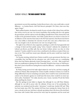government was not that surprising. Gordon Brown knew a few votes could make a crucial difference – to Gordon Brown. And Nick Brown's principles? Oh Christ, what were they again, I forgot."

Blair's political instinct, developed in nearly 10 years as leader of the Labour Party, told him that victory, even by one vote, was victory nonetheless. But needing only 81 to vote against the government, and the Labour revolt only falling a handful short of that, showed the scale of split on the government benches. And while Gordon Brown was shown to have less of an influence on the outcome than many in the PLP had expected, what Brown had shown was a clear ability to determine the outcome of such close votes. Just as Blair knows one vote was enough to win, he also knows one vote was enough to lose.

The sight of one of Brown's close supporters, pointing to a rebel who had apparently had a change of mind and then quietly saying "what a bastard", indicates the complexity of Labour's pro-Brown, pro-Blair split. But one former Cabinet adviser was clear on what mattered. "Gordon couldn't be seen to have contributed to the defeat, no matter if that were true or not. That would have meant open disloyalty and the party would have made him pay for that.

On Tuesday morning, nobody knew Hutton would be so pro-government. But there was a possibility that, had Blair lost the education vote, with Gordon seen as a contributing factor, then had Hutton gloriously cleared Downing Street – as it did – Blair would have had every justification in getting rid of the Chancellor. Would he have done so? Hell knows. But what is clear is that Brown turning Brown made the difference – and that weakens Blair not Brown."

By Friday, having survived the knife-edged tuition fee vote by five, and then escaping all criticism in Hutton, Blair attempted his version of public contrition. In future, he would do things differently, he had no remaining secret plans, there would be more social democratic context to his domestic agenda, he would learn this lesson, there would be no more topdown policy. Translation? "I'm really, sincerely, sorry. I mean, I promise I'll ask first before doing anything else, honest."

But this apology-in-trust failed to disguise that although he was still Prime Minister, although he was still in power after the ultimate 24-hour test of his premiership, his authority was weakened and the policy "adventures" would stop. Another MP said: "Blair has been leader since 1994. This summer he'll have been running the Labour Party for 10 years; a decade at the top.And there is already speculation that is the focus of the deal that's been done with Gordon. Blair survived the week, kept his reputation and his record and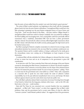kept the party at least unified from the outside. Last week that looked a good outcome."

The extent of Blair's eroded authority was beginning to show itself, with the champagne glasses barely dry from the post-Hutton celebrations.A strengthened Blair would have seen little advantage in gloating over the post-Hutton resignation frenzy of Gavyn Davies and Greg Dyke – both one-time friends of the Blairs – and then Andrew Gilligan himself. A strengthened Blair would have reeled in Alastair Campbell, who was positively revelling in the blood-spilling and encouraging more. And a strong Blair could have personally offered reassurances that a rudderless, demoralised BBC had not been a prime government objective. Instead, Tessa Jowell, the culture secretary, offered lightweight reassurances about the BBC's future with John Reid, the health secretary, playing again the high moral card in his hushed serious tones.

But Blair is paying for Hutton's complete exoneration. In a kind of reverse revenge, media and political attention has returned to the one issue Blair has resolutely avoided post-war. The question Hutton said he wouldn't address, is being re-addressed by the media given the extraordinary noises now coming out of Washington on Iraq's weapons of mass destruction.

A weakened Blair will also embolden his Cabinet colleagues to demand that their version of how to return lost trust and an air of competence to the government is given full consideration.

In an interview with The Times yesterday, Peter Hain took advantage of the post-Hutton vacuum by demanding that Blair honour commitments in Labour's last election manifesto. Hain, the leader of the Commons, revived the debate over the shape of the reformed House of Lords. He insisted the government should "be seen to keep its promises", adding: "There is a trust issue for the government and a trust deficit as a whole." Hain, with a reputation as a maverick able to speak his own mind outside the remit of collective Cabinet responsibility, has in the past delivered unauthorised views on tax and Europe. His latest outburst appears timed to put the Lords reform issue back into public view.

But with Blair's authority dented, Hain's resurrection of an issue Downing Street thought it had buried or kicked into the long grass, indicates other issues – such as the UK's sidelined entry to the euro – could resurface.

Hain told The Times he was concerned over a second chamber that was completely appointed – or filled with "Tony's cronies", as critics have suggested. But on Blair's wider problems, Hain said the government had to accept some blame of what he called the "corrosive cynicism" inside Britain's political culture . He suggested that if the government,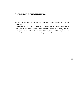the media and the opposition "did not solve the problem together" it would be a "problem for democracy".

However, in the week that he survived a Commons vote and cleared the hurdle of Hutton, only to find himself back to square one on the issue of Iraq's missing WMD, a philosophical analysis of Britain's democratic deficit might not head Blair's priorities. An invincible Prime Minister always has better things to worry about.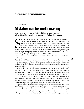### **COMMENTARY** Mistakes can be worth making

Lord Hutton's criticism of Andrew Gilligan's report should not be allowed to stifle investigative journalism. By **Iain Macwhirter**

Ince contrition is the order of the day, let me take this opportunity to apologise, unreservedly, for errors in my coverage of the Hutton Inquiry. Lessons have to be learned. I now realise I was wrong to believe that a 70ince contrition is the order of the day, let me take this opportunity to apologise, unreservedly, for errors in my coverage of the Hutton Inquiry. Lessons have to be learned. I now realise I was wrong to believe that a 70-year-old Northern Irish High Court judge was likely to give an even-handed verdict on the Kelly affair. However, I am not going to accuse Lord Hutton of being a malign hatchet-man 20/20 hindsight and try to pretend that I foretold all of this six months ago. I didn't. I was simply wrong. Perhaps I should just sack myself, here and now.

It is often sobering to re-read what you've written about a story like this. I said that the Hutton Inquiry was a model for future investigations of the conduct of government. That the evidence published in the course of the hearings told us more about the inner workings of government than the Freedom Of Information Act. I even said that Lord Hutton was precisely the kind of independent, untouchable, impartial figure needed to restore public respect for politics.

Strangely, I find that I still hold to most of that, even though Lord Hutton's verdict hasn't restored that public respect. More than half the population are more inclined to trust the BBC than the government despite Hutton's condemnation of the corporation's journalism, according to polls in *The Guardian*,*Daily Telegraph* and the *London Evening Standard*.

Hutton's verdict was unashamedly one-sided. Had it been a court ruling, there would no doubt have been an appeal. But, of course, this was not a court of law and there is no court of appeal. Nor was it a formal judicial inquiry, like the Scott Report into the arms to Iraq affair, which might have required more measured and balanced conclusions.

I suppose, in a way, Hutton was only doing what journalists do every day of the week. Pronouncing on an issue, laying down the law, exposing his prejudices. The report was one man's view. As a veteran of the original Widgery inquiry into Bloody Sunday, he clearly felt more comfortable with officialdom and gave it the benefit of the doubt where possible.

Along with most of the liberal establishment, the broadcasting organisations, the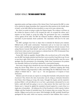opposition parties and large sections of the Labour Party, I had expected the BBC to come in for criticism for sloppy journalism. But I expected the other partners in the 'deadly dance of death', as the Kelly affair has been described, to come in for some criticism also.

But, there's no point in trying to replay the Hutton Inquiry. The evidence is all there on the website for anyone to look at. We accepted the rules, we accepted the referee, and I suppose we have simply to accept his ruling. The government has won a remarkable victory, against all the odds. The BBC lies shattered, headless, suffering the institutional equivalent of post-traumatic shock syndrome. The corporation will never be the same again.

The BBC's apologies have been so abject that it reminded the Russian press minister, Mikhail Lesin, of life under communism. "Statements such as 'we must now study the Hutton report carefully, learn appropriate lessons and implement relevant measures' from acting Director-General, Mark Byford'', said Lesin on Friday, "are painfully reminiscent of what Soviet writers used to say in response to criticism from the CPSU [Communist Party of the Soviet Union] Central Committee''.

Former BBC chiefs are appalled. Alasdair Milne, who was forced out as DG in the 1980s, says the BBC had simply panicked and that there was no need for Greg Dyke to go. I'm not so sure that is right. Dyke had to go because he could not bring himself to utter the craven apologies that the government was demanding. Under those circumstances his position was untenable. Moreover, he had been criticised by a semi-judicial inquiry.

How ironic, though, that it should be the man who brought us Roland Rat who ends up doing the decent thing. When can you last remember a politician resigning after being criticised? Ministers cling desperately to office amid failings like the Millennium Dome, the collapse of British Rail or  $-$  dare I say it  $-$  the non-appearance of weapons of mass destruction.

Ministers and civil servants are experts in covering their backsides with protective layers of protocol. They observe the rules of procedure and, by doing so, immunise themselves from blame when things go wrong. Like many, I thought the inquiry and the material it produced lifted a veil and allowed us to see how a government, intoxicated by its own hubris, could talk itself into going to war on a false pretext. But that wasn't how Lord Hutton saw it. Instead, he applied the standards of proof required in a court of law to a single piece of journalism – the infamous live 6.07am broadcast in which reporter Andrew Gilligan said that Number 10 'probably knew' the 45-minute claim was wrong. That was a mistake. Gilligan sexed up his own report. With hindsight, the BBC probably should have apologised for that aside, which was anyway corrected in later bulletins. But it wasn't a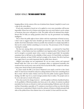hanging offence. In the context of the war of attrition from Alastair Campbell, it wasn't even a slap on the wrist offence.

If such strict standards of proof are to be applied to every story, journalism will become impossible. If there has to be a Hutton-style inquiry into every story before it can be written or broadcast, then news will grind to a halt. The public will not be informed that whistleblowers like Dr Kelly are raising questions about the way the government was handling intelligence.

This is where the public right to know clashes with the requirements of formal accuracy. I don't want to suggest that hacks shouldn't get their facts right. Of course, they should double-check their information wherever possible. But sometimes it is simply impossible to find out for certain whether something is or is not true. The provenance of the 45-minute warning for example.

The fear now among editors and investigative journalists – as expressed by Greg Dyke on Friday – is that Hutton may have established a new legal precedent.That in future it will not be enough to accurately report what a source is saying in good faith. Yet journalists sometimes have to fall back on the reliability of their sources. Dr David Kelly was Britain's foremost authority on Iraq's WMD and had oversight of the dossier. If he felt it had been over-egged, then it was surely important that the public knew about it.

Gilligan's note-taking was not inspirational. He cut too many corners and expressed himself badly. But I have yet to find a newspaper editor or experienced journalist who would not have run his story, warts and all. Now he has left the BBC, I suspect he will have a long career ahead of him in print journalism.

So, where stands the BBC as he leaves? Shattered is too small a word for it. But I don't think TV interviewers should be reduced to asking ministers if 'they have something they'd like to share with the nation. Indeed, such has been the public reaction against Hutton's findings, the BBC may be in a much stronger position than it realises. The people seem to be on its side and so is much of the press.

There does need to be change, however – and this applies to all forms of political hackery. As the godfather of liberal journalism, Jon Snow, put it, the culture of cynicism in political journalism has become an obstacle to truth and understanding. Politicians aren't all crooks and liars. If journalists, especially on TV, continue to treat them as if they are, then the fabric of democracy is undermined.Maybe it took the catharsis of Hutton to finally persuade both sides of the political fence that relations have to be mended. At least until the next time.